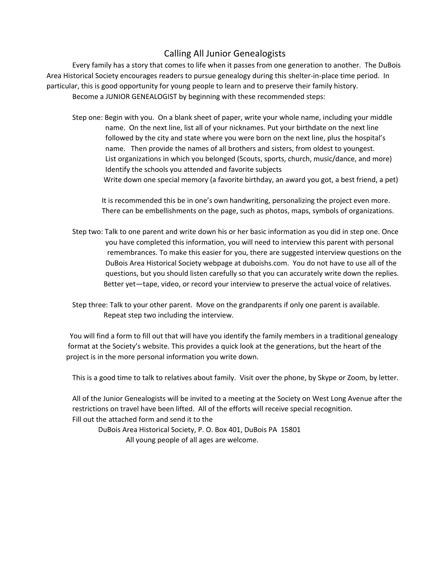## Calling All Junior Genealogists

Every family has a story that comes to life when it passes from one generation to another. The DuBois Area Historical Society encourages readers to pursue genealogy during this shelter-in-place time period. In particular, this is good opportunity for young people to learn and to preserve their family history. Become a JUNIOR GENEALOGIST by beginning with these recommended steps:

Step one: Begin with you. On a blank sheet of paper, write your whole name, including your middle name. On the next line, list all of your nicknames. Put your birthdate on the next line followed by the city and state where you were born on the next line, plus the hospital's name. Then provide the names of all brothers and sisters, from oldest to youngest. List organizations in which you belonged (Scouts, sports, church, music/dance, and more) Identify the schools you attended and favorite subjects Write down one special memory (a favorite birthday, an award you got, a best friend, a pet)

 It is recommended this be in one's own handwriting, personalizing the project even more. There can be embellishments on the page, such as photos, maps, symbols of organizations.

Step two: Talk to one parent and write down his or her basic information as you did in step one. Once you have completed this information, you will need to interview this parent with personal remembrances. To make this easier for you, there are suggested interview questions on the DuBois Area Historical Society webpage at duboishs.com. You do not have to use all of the questions, but you should listen carefully so that you can accurately write down the replies. Better yet—tape, video, or record your interview to preserve the actual voice of relatives.

Step three: Talk to your other parent. Move on the grandparents if only one parent is available. Repeat step two including the interview.

 You will find a form to fill out that will have you identify the family members in a traditional genealogy format at the Society's website. This provides a quick look at the generations, but the heart of the project is in the more personal information you write down.

This is a good time to talk to relatives about family. Visit over the phone, by Skype or Zoom, by letter.

All of the Junior Genealogists will be invited to a meeting at the Society on West Long Avenue after the restrictions on travel have been lifted. All of the efforts will receive special recognition. Fill out the attached form and send it to the

DuBois Area Historical Society, P. O. Box 401, DuBois PA 15801 All young people of all ages are welcome.